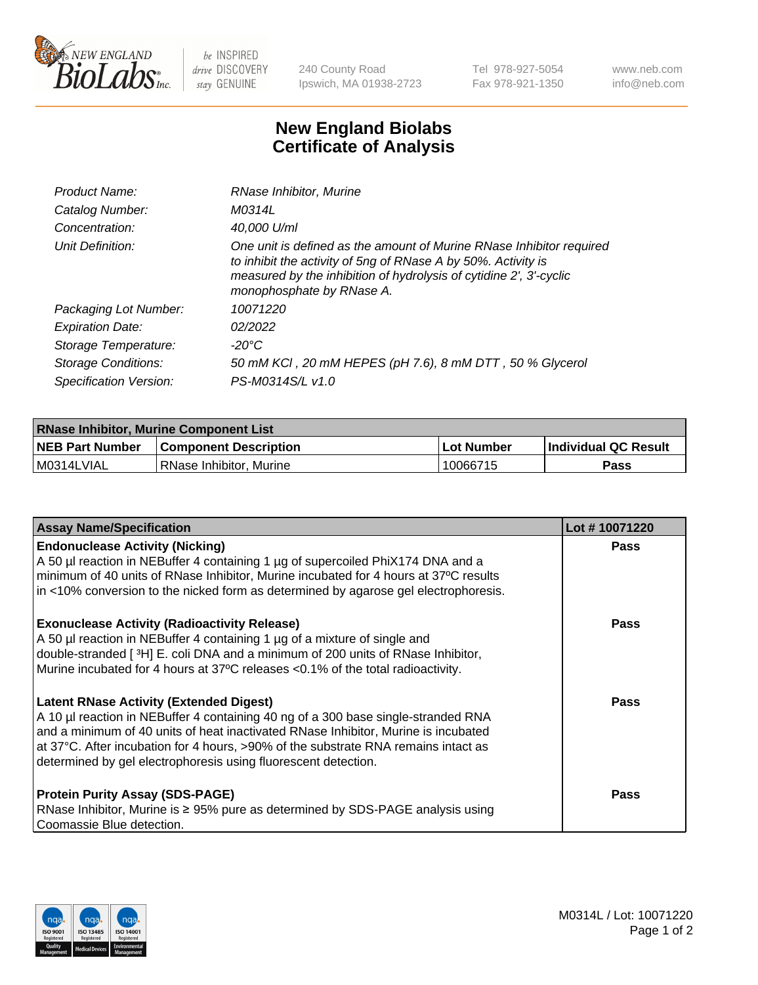

 $be$  INSPIRED drive DISCOVERY stay GENUINE

240 County Road Ipswich, MA 01938-2723 Tel 978-927-5054 Fax 978-921-1350 www.neb.com info@neb.com

## **New England Biolabs Certificate of Analysis**

| Product Name:           | RNase Inhibitor, Murine                                                                                                                                                                                                                  |
|-------------------------|------------------------------------------------------------------------------------------------------------------------------------------------------------------------------------------------------------------------------------------|
| Catalog Number:         | M0314L                                                                                                                                                                                                                                   |
| Concentration:          | 40,000 U/ml                                                                                                                                                                                                                              |
| Unit Definition:        | One unit is defined as the amount of Murine RNase Inhibitor required<br>to inhibit the activity of 5ng of RNase A by 50%. Activity is<br>measured by the inhibition of hydrolysis of cytidine 2', 3'-cyclic<br>monophosphate by RNase A. |
| Packaging Lot Number:   | 10071220                                                                                                                                                                                                                                 |
| <b>Expiration Date:</b> | 02/2022                                                                                                                                                                                                                                  |
| Storage Temperature:    | -20°C                                                                                                                                                                                                                                    |
| Storage Conditions:     | 50 mM KCI, 20 mM HEPES (pH 7.6), 8 mM DTT, 50 % Glycerol                                                                                                                                                                                 |
| Specification Version:  | PS-M0314S/L v1.0                                                                                                                                                                                                                         |

| <b>RNase Inhibitor, Murine Component List</b> |                              |                   |                             |  |
|-----------------------------------------------|------------------------------|-------------------|-----------------------------|--|
| <b>NEB Part Number</b>                        | <b>Component Description</b> | <b>Lot Number</b> | <b>Individual QC Result</b> |  |
| M0314LVIAL                                    | RNase Inhibitor, Murine      | 10066715          | <b>Pass</b>                 |  |

| <b>Assay Name/Specification</b>                                                                                                                                                                                                                                                                                                                                                   | Lot #10071220 |
|-----------------------------------------------------------------------------------------------------------------------------------------------------------------------------------------------------------------------------------------------------------------------------------------------------------------------------------------------------------------------------------|---------------|
| <b>Endonuclease Activity (Nicking)</b><br>A 50 µl reaction in NEBuffer 4 containing 1 µg of supercoiled PhiX174 DNA and a<br>minimum of 40 units of RNase Inhibitor, Murine incubated for 4 hours at 37°C results                                                                                                                                                                 | Pass          |
| in <10% conversion to the nicked form as determined by agarose gel electrophoresis.<br><b>Exonuclease Activity (Radioactivity Release)</b>                                                                                                                                                                                                                                        | <b>Pass</b>   |
| A 50 µl reaction in NEBuffer 4 containing 1 µg of a mixture of single and<br>double-stranded [3H] E. coli DNA and a minimum of 200 units of RNase Inhibitor,<br>Murine incubated for 4 hours at 37°C releases <0.1% of the total radioactivity.                                                                                                                                   |               |
| <b>Latent RNase Activity (Extended Digest)</b><br>A 10 µl reaction in NEBuffer 4 containing 40 ng of a 300 base single-stranded RNA<br>and a minimum of 40 units of heat inactivated RNase Inhibitor, Murine is incubated<br>at 37°C. After incubation for 4 hours, >90% of the substrate RNA remains intact as<br>determined by gel electrophoresis using fluorescent detection. | <b>Pass</b>   |
| <b>Protein Purity Assay (SDS-PAGE)</b><br>RNase Inhibitor, Murine is ≥ 95% pure as determined by SDS-PAGE analysis using<br>Coomassie Blue detection.                                                                                                                                                                                                                             | <b>Pass</b>   |